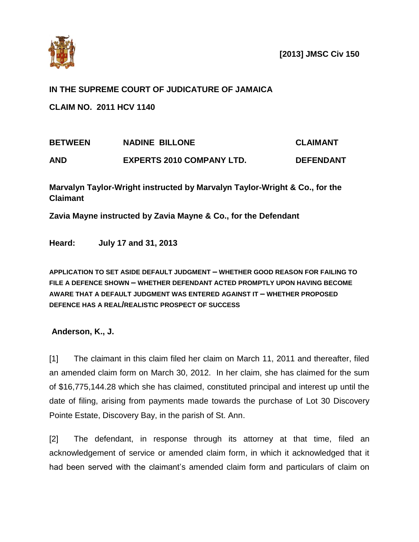

## **IN THE SUPREME COURT OF JUDICATURE OF JAMAICA**

**CLAIM NO. 2011 HCV 1140**

| <b>BETWEEN</b> | <b>NADINE BILLONE</b>            | <b>CLAIMANT</b>  |
|----------------|----------------------------------|------------------|
| <b>AND</b>     | <b>EXPERTS 2010 COMPANY LTD.</b> | <b>DEFENDANT</b> |

**Marvalyn Taylor-Wright instructed by Marvalyn Taylor-Wright & Co., for the Claimant**

**Zavia Mayne instructed by Zavia Mayne & Co., for the Defendant**

**Heard: July 17 and 31, 2013**

**APPLICATION TO SET ASIDE DEFAULT JUDGMENT – WHETHER GOOD REASON FOR FAILING TO FILE A DEFENCE SHOWN – WHETHER DEFENDANT ACTED PROMPTLY UPON HAVING BECOME AWARE THAT A DEFAULT JUDGMENT WAS ENTERED AGAINST IT – WHETHER PROPOSED DEFENCE HAS A REAL/REALISTIC PROSPECT OF SUCCESS**

**Anderson, K., J.**

[1] The claimant in this claim filed her claim on March 11, 2011 and thereafter, filed an amended claim form on March 30, 2012. In her claim, she has claimed for the sum of \$16,775,144.28 which she has claimed, constituted principal and interest up until the date of filing, arising from payments made towards the purchase of Lot 30 Discovery Pointe Estate, Discovery Bay, in the parish of St. Ann.

[2] The defendant, in response through its attorney at that time, filed an acknowledgement of service or amended claim form, in which it acknowledged that it had been served with the claimant's amended claim form and particulars of claim on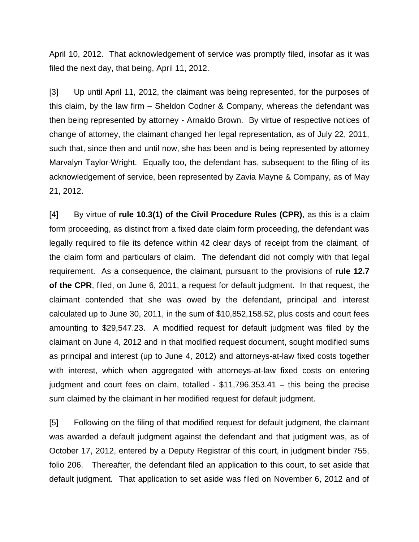April 10, 2012. That acknowledgement of service was promptly filed, insofar as it was filed the next day, that being, April 11, 2012.

[3] Up until April 11, 2012, the claimant was being represented, for the purposes of this claim, by the law firm – Sheldon Codner & Company, whereas the defendant was then being represented by attorney - Arnaldo Brown. By virtue of respective notices of change of attorney, the claimant changed her legal representation, as of July 22, 2011, such that, since then and until now, she has been and is being represented by attorney Marvalyn Taylor-Wright. Equally too, the defendant has, subsequent to the filing of its acknowledgement of service, been represented by Zavia Mayne & Company, as of May 21, 2012.

[4] By virtue of **rule 10.3(1) of the Civil Procedure Rules (CPR)**, as this is a claim form proceeding, as distinct from a fixed date claim form proceeding, the defendant was legally required to file its defence within 42 clear days of receipt from the claimant, of the claim form and particulars of claim. The defendant did not comply with that legal requirement. As a consequence, the claimant, pursuant to the provisions of **rule 12.7 of the CPR**, filed, on June 6, 2011, a request for default judgment. In that request, the claimant contended that she was owed by the defendant, principal and interest calculated up to June 30, 2011, in the sum of \$10,852,158.52, plus costs and court fees amounting to \$29,547.23. A modified request for default judgment was filed by the claimant on June 4, 2012 and in that modified request document, sought modified sums as principal and interest (up to June 4, 2012) and attorneys-at-law fixed costs together with interest, which when aggregated with attorneys-at-law fixed costs on entering judgment and court fees on claim, totalled  $-$  \$11,796,353.41  $-$  this being the precise sum claimed by the claimant in her modified request for default judgment.

[5] Following on the filing of that modified request for default judgment, the claimant was awarded a default judgment against the defendant and that judgment was, as of October 17, 2012, entered by a Deputy Registrar of this court, in judgment binder 755, folio 206. Thereafter, the defendant filed an application to this court, to set aside that default judgment. That application to set aside was filed on November 6, 2012 and of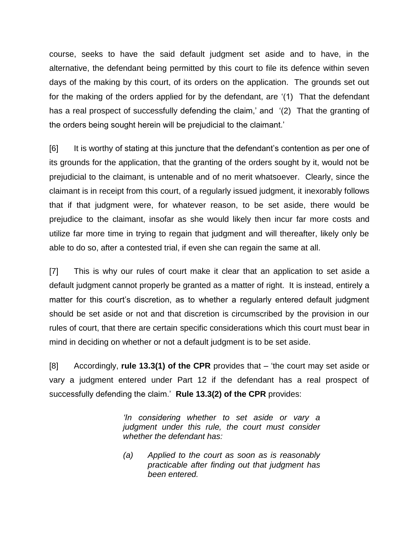course, seeks to have the said default judgment set aside and to have, in the alternative, the defendant being permitted by this court to file its defence within seven days of the making by this court, of its orders on the application. The grounds set out for the making of the orders applied for by the defendant, are '(1) That the defendant has a real prospect of successfully defending the claim,' and '(2) That the granting of the orders being sought herein will be prejudicial to the claimant.'

[6] It is worthy of stating at this juncture that the defendant's contention as per one of its grounds for the application, that the granting of the orders sought by it, would not be prejudicial to the claimant, is untenable and of no merit whatsoever. Clearly, since the claimant is in receipt from this court, of a regularly issued judgment, it inexorably follows that if that judgment were, for whatever reason, to be set aside, there would be prejudice to the claimant, insofar as she would likely then incur far more costs and utilize far more time in trying to regain that judgment and will thereafter, likely only be able to do so, after a contested trial, if even she can regain the same at all.

[7] This is why our rules of court make it clear that an application to set aside a default judgment cannot properly be granted as a matter of right. It is instead, entirely a matter for this court's discretion, as to whether a regularly entered default judgment should be set aside or not and that discretion is circumscribed by the provision in our rules of court, that there are certain specific considerations which this court must bear in mind in deciding on whether or not a default judgment is to be set aside.

[8] Accordingly, **rule 13.3(1) of the CPR** provides that – 'the court may set aside or vary a judgment entered under Part 12 if the defendant has a real prospect of successfully defending the claim.' **Rule 13.3(2) of the CPR** provides:

> *'In considering whether to set aside or vary a judgment under this rule, the court must consider whether the defendant has:*

> *(a) Applied to the court as soon as is reasonably practicable after finding out that judgment has been entered.*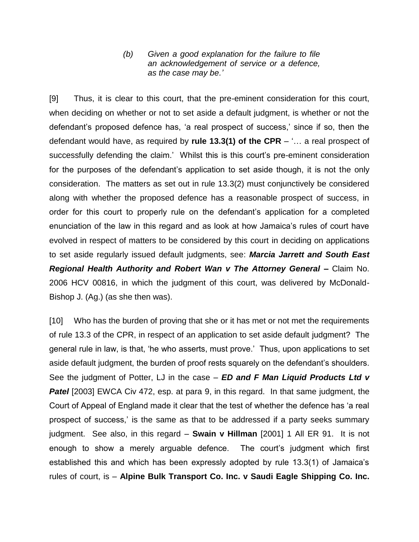*(b) Given a good explanation for the failure to file an acknowledgement of service or a defence, as the case may be.'*

[9] Thus, it is clear to this court, that the pre-eminent consideration for this court, when deciding on whether or not to set aside a default judgment, is whether or not the defendant's proposed defence has, 'a real prospect of success,' since if so, then the defendant would have, as required by **rule 13.3(1) of the CPR** – '… a real prospect of successfully defending the claim.' Whilst this is this court's pre-eminent consideration for the purposes of the defendant's application to set aside though, it is not the only consideration. The matters as set out in rule 13.3(2) must conjunctively be considered along with whether the proposed defence has a reasonable prospect of success, in order for this court to properly rule on the defendant's application for a completed enunciation of the law in this regard and as look at how Jamaica's rules of court have evolved in respect of matters to be considered by this court in deciding on applications to set aside regularly issued default judgments, see: *Marcia Jarrett and South East Regional Health Authority and Robert Wan v The Attorney General –* Claim No. 2006 HCV 00816, in which the judgment of this court, was delivered by McDonald-Bishop J. (Ag.) (as she then was).

[10] Who has the burden of proving that she or it has met or not met the requirements of rule 13.3 of the CPR, in respect of an application to set aside default judgment? The general rule in law, is that, 'he who asserts, must prove.' Thus, upon applications to set aside default judgment, the burden of proof rests squarely on the defendant's shoulders. See the judgment of Potter, LJ in the case – *ED and F Man Liquid Products Ltd v*  **Patel** [2003] EWCA Civ 472, esp. at para 9, in this regard. In that same judgment, the Court of Appeal of England made it clear that the test of whether the defence has 'a real prospect of success,' is the same as that to be addressed if a party seeks summary judgment. See also, in this regard – **Swain v Hillman** [2001] 1 All ER 91. It is not enough to show a merely arguable defence. The court's judgment which first established this and which has been expressly adopted by rule 13.3(1) of Jamaica's rules of court, is – **Alpine Bulk Transport Co. Inc. v Saudi Eagle Shipping Co. Inc.**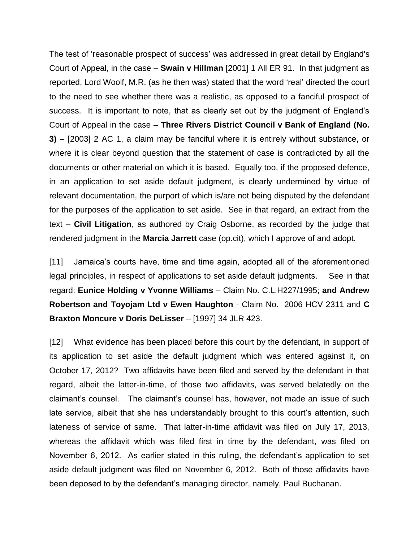The test of 'reasonable prospect of success' was addressed in great detail by England's Court of Appeal, in the case – **Swain v Hillman** [2001] 1 All ER 91. In that judgment as reported, Lord Woolf, M.R. (as he then was) stated that the word 'real' directed the court to the need to see whether there was a realistic, as opposed to a fanciful prospect of success. It is important to note, that as clearly set out by the judgment of England's Court of Appeal in the case – **Three Rivers District Council v Bank of England (No. 3)** – [2003] 2 AC 1, a claim may be fanciful where it is entirely without substance, or where it is clear beyond question that the statement of case is contradicted by all the documents or other material on which it is based. Equally too, if the proposed defence, in an application to set aside default judgment, is clearly undermined by virtue of relevant documentation, the purport of which is/are not being disputed by the defendant for the purposes of the application to set aside. See in that regard, an extract from the text – **Civil Litigation**, as authored by Craig Osborne, as recorded by the judge that rendered judgment in the **Marcia Jarrett** case (op.cit), which I approve of and adopt.

[11] Jamaica's courts have, time and time again, adopted all of the aforementioned legal principles, in respect of applications to set aside default judgments. See in that regard: **Eunice Holding v Yvonne Williams** – Claim No. C.L.H227/1995; **and Andrew Robertson and Toyojam Ltd v Ewen Haughton** - Claim No. 2006 HCV 2311 and **C Braxton Moncure v Doris DeLisser** – [1997] 34 JLR 423.

[12] What evidence has been placed before this court by the defendant, in support of its application to set aside the default judgment which was entered against it, on October 17, 2012? Two affidavits have been filed and served by the defendant in that regard, albeit the latter-in-time, of those two affidavits, was served belatedly on the claimant's counsel. The claimant's counsel has, however, not made an issue of such late service, albeit that she has understandably brought to this court's attention, such lateness of service of same. That latter-in-time affidavit was filed on July 17, 2013, whereas the affidavit which was filed first in time by the defendant, was filed on November 6, 2012. As earlier stated in this ruling, the defendant's application to set aside default judgment was filed on November 6, 2012. Both of those affidavits have been deposed to by the defendant's managing director, namely, Paul Buchanan.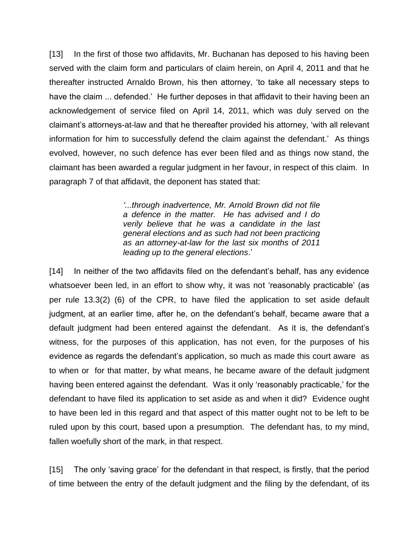[13] In the first of those two affidavits, Mr. Buchanan has deposed to his having been served with the claim form and particulars of claim herein, on April 4, 2011 and that he thereafter instructed Arnaldo Brown, his then attorney, 'to take all necessary steps to have the claim ... defended.' He further deposes in that affidavit to their having been an acknowledgement of service filed on April 14, 2011, which was duly served on the claimant's attorneys-at-law and that he thereafter provided his attorney, 'with all relevant information for him to successfully defend the claim against the defendant.' As things evolved, however, no such defence has ever been filed and as things now stand, the claimant has been awarded a regular judgment in her favour, in respect of this claim. In paragraph 7 of that affidavit, the deponent has stated that:

> *'...through inadvertence, Mr. Arnold Brown did not file a defence in the matter. He has advised and I do verily believe that he was a candidate in the last general elections and as such had not been practicing as an attorney-at-law for the last six months of 2011 leading up to the general elections*.'

[14] In neither of the two affidavits filed on the defendant's behalf, has any evidence whatsoever been led, in an effort to show why, it was not 'reasonably practicable' (as per rule 13.3(2) (6) of the CPR, to have filed the application to set aside default judgment, at an earlier time, after he, on the defendant's behalf, became aware that a default judgment had been entered against the defendant. As it is, the defendant's witness, for the purposes of this application, has not even, for the purposes of his evidence as regards the defendant's application, so much as made this court aware as to when or for that matter, by what means, he became aware of the default judgment having been entered against the defendant. Was it only 'reasonably practicable,' for the defendant to have filed its application to set aside as and when it did? Evidence ought to have been led in this regard and that aspect of this matter ought not to be left to be ruled upon by this court, based upon a presumption. The defendant has, to my mind, fallen woefully short of the mark, in that respect.

[15] The only 'saving grace' for the defendant in that respect, is firstly, that the period of time between the entry of the default judgment and the filing by the defendant, of its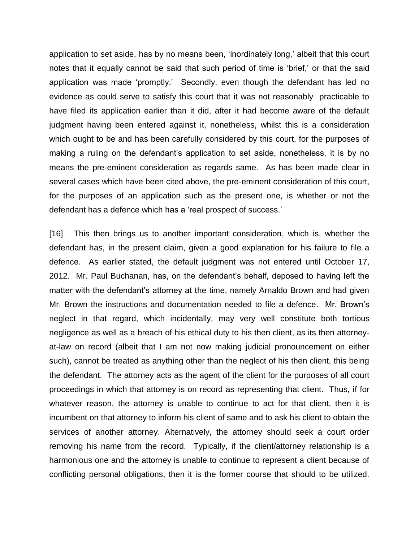application to set aside, has by no means been, 'inordinately long,' albeit that this court notes that it equally cannot be said that such period of time is 'brief,' or that the said application was made 'promptly.' Secondly, even though the defendant has led no evidence as could serve to satisfy this court that it was not reasonably practicable to have filed its application earlier than it did, after it had become aware of the default judgment having been entered against it, nonetheless, whilst this is a consideration which ought to be and has been carefully considered by this court, for the purposes of making a ruling on the defendant's application to set aside, nonetheless, it is by no means the pre-eminent consideration as regards same. As has been made clear in several cases which have been cited above, the pre-eminent consideration of this court, for the purposes of an application such as the present one, is whether or not the defendant has a defence which has a 'real prospect of success.'

[16] This then brings us to another important consideration, which is, whether the defendant has, in the present claim, given a good explanation for his failure to file a defence. As earlier stated, the default judgment was not entered until October 17, 2012. Mr. Paul Buchanan, has, on the defendant's behalf, deposed to having left the matter with the defendant's attorney at the time, namely Arnaldo Brown and had given Mr. Brown the instructions and documentation needed to file a defence. Mr. Brown's neglect in that regard, which incidentally, may very well constitute both tortious negligence as well as a breach of his ethical duty to his then client, as its then attorneyat-law on record (albeit that I am not now making judicial pronouncement on either such), cannot be treated as anything other than the neglect of his then client, this being the defendant. The attorney acts as the agent of the client for the purposes of all court proceedings in which that attorney is on record as representing that client. Thus, if for whatever reason, the attorney is unable to continue to act for that client, then it is incumbent on that attorney to inform his client of same and to ask his client to obtain the services of another attorney. Alternatively, the attorney should seek a court order removing his name from the record. Typically, if the client/attorney relationship is a harmonious one and the attorney is unable to continue to represent a client because of conflicting personal obligations, then it is the former course that should to be utilized.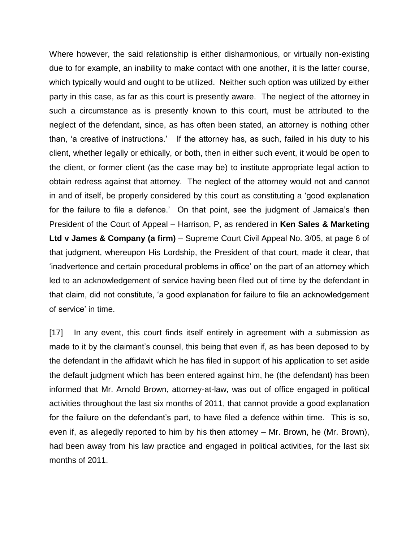Where however, the said relationship is either disharmonious, or virtually non-existing due to for example, an inability to make contact with one another, it is the latter course, which typically would and ought to be utilized. Neither such option was utilized by either party in this case, as far as this court is presently aware. The neglect of the attorney in such a circumstance as is presently known to this court, must be attributed to the neglect of the defendant, since, as has often been stated, an attorney is nothing other than, 'a creative of instructions.' If the attorney has, as such, failed in his duty to his client, whether legally or ethically, or both, then in either such event, it would be open to the client, or former client (as the case may be) to institute appropriate legal action to obtain redress against that attorney. The neglect of the attorney would not and cannot in and of itself, be properly considered by this court as constituting a 'good explanation for the failure to file a defence.' On that point, see the judgment of Jamaica's then President of the Court of Appeal – Harrison, P, as rendered in **Ken Sales & Marketing Ltd v James & Company (a firm)** – Supreme Court Civil Appeal No. 3/05, at page 6 of that judgment, whereupon His Lordship, the President of that court, made it clear, that 'inadvertence and certain procedural problems in office' on the part of an attorney which led to an acknowledgement of service having been filed out of time by the defendant in that claim, did not constitute, 'a good explanation for failure to file an acknowledgement of service' in time.

[17] In any event, this court finds itself entirely in agreement with a submission as made to it by the claimant's counsel, this being that even if, as has been deposed to by the defendant in the affidavit which he has filed in support of his application to set aside the default judgment which has been entered against him, he (the defendant) has been informed that Mr. Arnold Brown, attorney-at-law, was out of office engaged in political activities throughout the last six months of 2011, that cannot provide a good explanation for the failure on the defendant's part, to have filed a defence within time. This is so, even if, as allegedly reported to him by his then attorney – Mr. Brown, he (Mr. Brown), had been away from his law practice and engaged in political activities, for the last six months of 2011.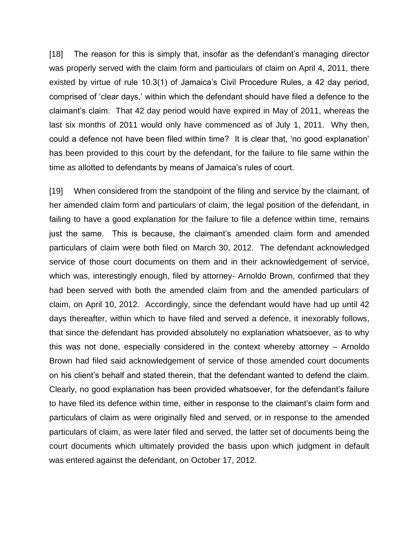[18] The reason for this is simply that, insofar as the defendant's managing director was properly served with the claim form and particulars of claim on April 4, 2011, there existed by virtue of rule 10.3(1) of Jamaica's Civil Procedure Rules, a 42 day period, comprised of 'clear days,' within which the defendant should have filed a defence to the claimant's claim. That 42 day period would have expired in May of 2011, whereas the last six months of 2011 would only have commenced as of July 1, 2011. Why then, could a defence not have been filed within time? It is clear that, 'no good explanation' has been provided to this court by the defendant, for the failure to file same within the time as allotted to defendants by means of Jamaica's rules of court.

[19] When considered from the standpoint of the filing and service by the claimant, of her amended claim form and particulars of claim, the legal position of the defendant, in failing to have a good explanation for the failure to file a defence within time, remains just the same. This is because, the claimant's amended claim form and amended particulars of claim were both filed on March 30, 2012. The defendant acknowledged service of those court documents on them and in their acknowledgement of service, which was, interestingly enough, filed by attorney- Arnoldo Brown, confirmed that they had been served with both the amended claim from and the amended particulars of claim, on April 10, 2012. Accordingly, since the defendant would have had up until 42 days thereafter, within which to have filed and served a defence, it inexorably follows, that since the defendant has provided absolutely no explanation whatsoever, as to why this was not done, especially considered in the context whereby attorney – Arnoldo Brown had filed said acknowledgement of service of those amended court documents on his client's behalf and stated therein, that the defendant wanted to defend the claim. Clearly, no good explanation has been provided whatsoever, for the defendant's failure to have filed its defence within time, either in response to the claimant's claim form and particulars of claim as were originally filed and served, or in response to the amended particulars of claim, as were later filed and served, the latter set of documents being the court documents which ultimately provided the basis upon which judgment in default was entered against the defendant, on October 17, 2012.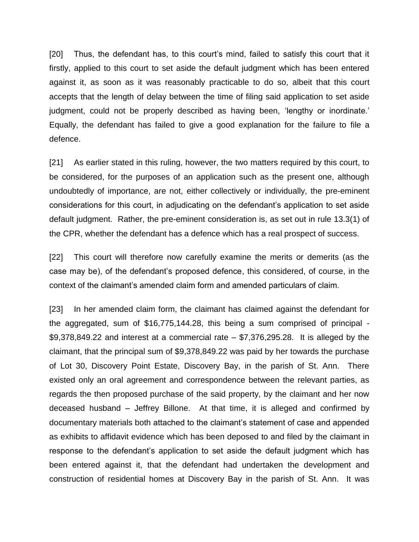[20] Thus, the defendant has, to this court's mind, failed to satisfy this court that it firstly, applied to this court to set aside the default judgment which has been entered against it, as soon as it was reasonably practicable to do so, albeit that this court accepts that the length of delay between the time of filing said application to set aside judgment, could not be properly described as having been, 'lengthy or inordinate.' Equally, the defendant has failed to give a good explanation for the failure to file a defence.

[21] As earlier stated in this ruling, however, the two matters required by this court, to be considered, for the purposes of an application such as the present one, although undoubtedly of importance, are not, either collectively or individually, the pre-eminent considerations for this court, in adjudicating on the defendant's application to set aside default judgment. Rather, the pre-eminent consideration is, as set out in rule 13.3(1) of the CPR, whether the defendant has a defence which has a real prospect of success.

[22] This court will therefore now carefully examine the merits or demerits (as the case may be), of the defendant's proposed defence, this considered, of course, in the context of the claimant's amended claim form and amended particulars of claim.

[23] In her amended claim form, the claimant has claimed against the defendant for the aggregated, sum of \$16,775,144.28, this being a sum comprised of principal -  $$9,378,849.22$  and interest at a commercial rate  $- $7,376,295.28$ . It is alleged by the claimant, that the principal sum of \$9,378,849.22 was paid by her towards the purchase of Lot 30, Discovery Point Estate, Discovery Bay, in the parish of St. Ann. There existed only an oral agreement and correspondence between the relevant parties, as regards the then proposed purchase of the said property, by the claimant and her now deceased husband – Jeffrey Billone. At that time, it is alleged and confirmed by documentary materials both attached to the claimant's statement of case and appended as exhibits to affidavit evidence which has been deposed to and filed by the claimant in response to the defendant's application to set aside the default judgment which has been entered against it, that the defendant had undertaken the development and construction of residential homes at Discovery Bay in the parish of St. Ann. It was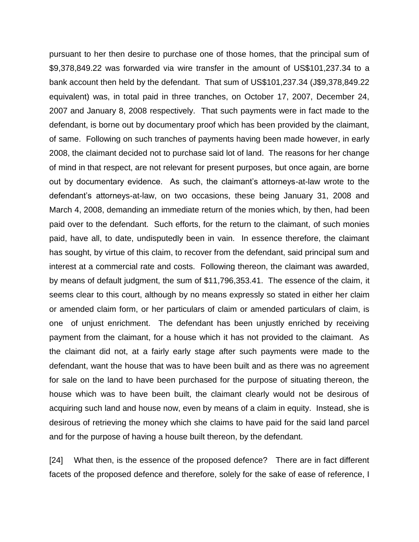pursuant to her then desire to purchase one of those homes, that the principal sum of \$9,378,849.22 was forwarded via wire transfer in the amount of US\$101,237.34 to a bank account then held by the defendant. That sum of US\$101,237.34 (J\$9,378,849.22 equivalent) was, in total paid in three tranches, on October 17, 2007, December 24, 2007 and January 8, 2008 respectively. That such payments were in fact made to the defendant, is borne out by documentary proof which has been provided by the claimant, of same. Following on such tranches of payments having been made however, in early 2008, the claimant decided not to purchase said lot of land. The reasons for her change of mind in that respect, are not relevant for present purposes, but once again, are borne out by documentary evidence. As such, the claimant's attorneys-at-law wrote to the defendant's attorneys-at-law, on two occasions, these being January 31, 2008 and March 4, 2008, demanding an immediate return of the monies which, by then, had been paid over to the defendant. Such efforts, for the return to the claimant, of such monies paid, have all, to date, undisputedly been in vain. In essence therefore, the claimant has sought, by virtue of this claim, to recover from the defendant, said principal sum and interest at a commercial rate and costs. Following thereon, the claimant was awarded, by means of default judgment, the sum of \$11,796,353.41. The essence of the claim, it seems clear to this court, although by no means expressly so stated in either her claim or amended claim form, or her particulars of claim or amended particulars of claim, is one of unjust enrichment. The defendant has been unjustly enriched by receiving payment from the claimant, for a house which it has not provided to the claimant. As the claimant did not, at a fairly early stage after such payments were made to the defendant, want the house that was to have been built and as there was no agreement for sale on the land to have been purchased for the purpose of situating thereon, the house which was to have been built, the claimant clearly would not be desirous of acquiring such land and house now, even by means of a claim in equity. Instead, she is desirous of retrieving the money which she claims to have paid for the said land parcel and for the purpose of having a house built thereon, by the defendant.

[24] What then, is the essence of the proposed defence? There are in fact different facets of the proposed defence and therefore, solely for the sake of ease of reference, I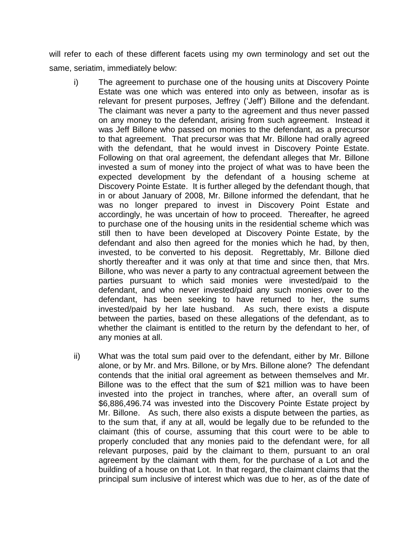will refer to each of these different facets using my own terminology and set out the same, seriatim, immediately below:

- i) The agreement to purchase one of the housing units at Discovery Pointe Estate was one which was entered into only as between, insofar as is relevant for present purposes, Jeffrey ('Jeff') Billone and the defendant. The claimant was never a party to the agreement and thus never passed on any money to the defendant, arising from such agreement. Instead it was Jeff Billone who passed on monies to the defendant, as a precursor to that agreement. That precursor was that Mr. Billone had orally agreed with the defendant, that he would invest in Discovery Pointe Estate. Following on that oral agreement, the defendant alleges that Mr. Billone invested a sum of money into the project of what was to have been the expected development by the defendant of a housing scheme at Discovery Pointe Estate. It is further alleged by the defendant though, that in or about January of 2008, Mr. Billone informed the defendant, that he was no longer prepared to invest in Discovery Point Estate and accordingly, he was uncertain of how to proceed. Thereafter, he agreed to purchase one of the housing units in the residential scheme which was still then to have been developed at Discovery Pointe Estate, by the defendant and also then agreed for the monies which he had, by then, invested, to be converted to his deposit. Regrettably, Mr. Billone died shortly thereafter and it was only at that time and since then, that Mrs. Billone, who was never a party to any contractual agreement between the parties pursuant to which said monies were invested/paid to the defendant, and who never invested/paid any such monies over to the defendant, has been seeking to have returned to her, the sums invested/paid by her late husband. As such, there exists a dispute between the parties, based on these allegations of the defendant, as to whether the claimant is entitled to the return by the defendant to her, of any monies at all.
- ii) What was the total sum paid over to the defendant, either by Mr. Billone alone, or by Mr. and Mrs. Billone, or by Mrs. Billone alone? The defendant contends that the initial oral agreement as between themselves and Mr. Billone was to the effect that the sum of \$21 million was to have been invested into the project in tranches, where after, an overall sum of \$6,886,496.74 was invested into the Discovery Pointe Estate project by Mr. Billone. As such, there also exists a dispute between the parties, as to the sum that, if any at all, would be legally due to be refunded to the claimant (this of course, assuming that this court were to be able to properly concluded that any monies paid to the defendant were, for all relevant purposes, paid by the claimant to them, pursuant to an oral agreement by the claimant with them, for the purchase of a Lot and the building of a house on that Lot. In that regard, the claimant claims that the principal sum inclusive of interest which was due to her, as of the date of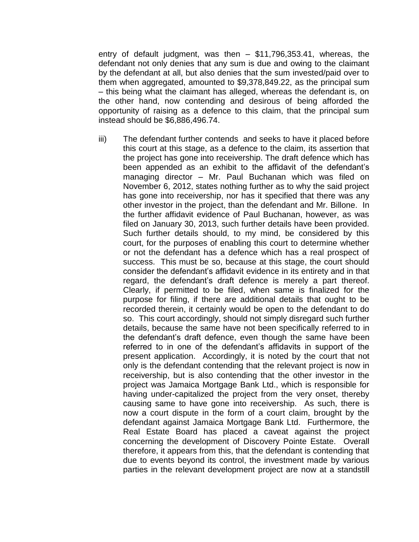entry of default judgment, was then – \$11,796,353.41, whereas, the defendant not only denies that any sum is due and owing to the claimant by the defendant at all, but also denies that the sum invested/paid over to them when aggregated, amounted to \$9,378,849.22, as the principal sum – this being what the claimant has alleged, whereas the defendant is, on the other hand, now contending and desirous of being afforded the opportunity of raising as a defence to this claim, that the principal sum instead should be \$6,886,496.74.

iii) The defendant further contends and seeks to have it placed before this court at this stage, as a defence to the claim, its assertion that the project has gone into receivership. The draft defence which has been appended as an exhibit to the affidavit of the defendant's managing director – Mr. Paul Buchanan which was filed on November 6, 2012, states nothing further as to why the said project has gone into receivership, nor has it specified that there was any other investor in the project, than the defendant and Mr. Billone. In the further affidavit evidence of Paul Buchanan, however, as was filed on January 30, 2013, such further details have been provided. Such further details should, to my mind, be considered by this court, for the purposes of enabling this court to determine whether or not the defendant has a defence which has a real prospect of success. This must be so, because at this stage, the court should consider the defendant's affidavit evidence in its entirety and in that regard, the defendant's draft defence is merely a part thereof. Clearly, if permitted to be filed, when same is finalized for the purpose for filing, if there are additional details that ought to be recorded therein, it certainly would be open to the defendant to do so. This court accordingly, should not simply disregard such further details, because the same have not been specifically referred to in the defendant's draft defence, even though the same have been referred to in one of the defendant's affidavits in support of the present application. Accordingly, it is noted by the court that not only is the defendant contending that the relevant project is now in receivership, but is also contending that the other investor in the project was Jamaica Mortgage Bank Ltd., which is responsible for having under-capitalized the project from the very onset, thereby causing same to have gone into receivership. As such, there is now a court dispute in the form of a court claim, brought by the defendant against Jamaica Mortgage Bank Ltd. Furthermore, the Real Estate Board has placed a caveat against the project concerning the development of Discovery Pointe Estate. Overall therefore, it appears from this, that the defendant is contending that due to events beyond its control, the investment made by various parties in the relevant development project are now at a standstill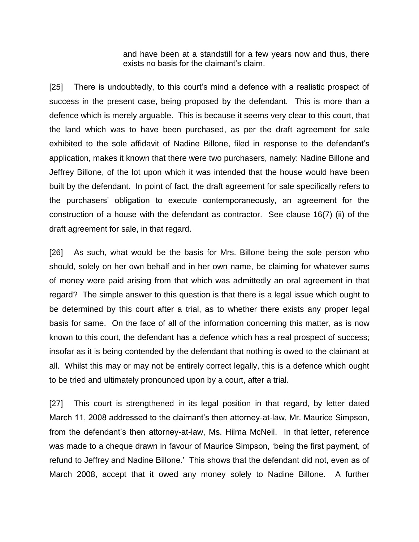and have been at a standstill for a few years now and thus, there exists no basis for the claimant's claim.

[25] There is undoubtedly, to this court's mind a defence with a realistic prospect of success in the present case, being proposed by the defendant. This is more than a defence which is merely arguable. This is because it seems very clear to this court, that the land which was to have been purchased, as per the draft agreement for sale exhibited to the sole affidavit of Nadine Billone, filed in response to the defendant's application, makes it known that there were two purchasers, namely: Nadine Billone and Jeffrey Billone, of the lot upon which it was intended that the house would have been built by the defendant. In point of fact, the draft agreement for sale specifically refers to the purchasers' obligation to execute contemporaneously, an agreement for the construction of a house with the defendant as contractor. See clause 16(7) (ii) of the draft agreement for sale, in that regard.

[26] As such, what would be the basis for Mrs. Billone being the sole person who should, solely on her own behalf and in her own name, be claiming for whatever sums of money were paid arising from that which was admittedly an oral agreement in that regard? The simple answer to this question is that there is a legal issue which ought to be determined by this court after a trial, as to whether there exists any proper legal basis for same. On the face of all of the information concerning this matter, as is now known to this court, the defendant has a defence which has a real prospect of success; insofar as it is being contended by the defendant that nothing is owed to the claimant at all. Whilst this may or may not be entirely correct legally, this is a defence which ought to be tried and ultimately pronounced upon by a court, after a trial.

[27] This court is strengthened in its legal position in that regard, by letter dated March 11, 2008 addressed to the claimant's then attorney-at-law, Mr. Maurice Simpson, from the defendant's then attorney-at-law, Ms. Hilma McNeil. In that letter, reference was made to a cheque drawn in favour of Maurice Simpson, 'being the first payment, of refund to Jeffrey and Nadine Billone.' This shows that the defendant did not, even as of March 2008, accept that it owed any money solely to Nadine Billone. A further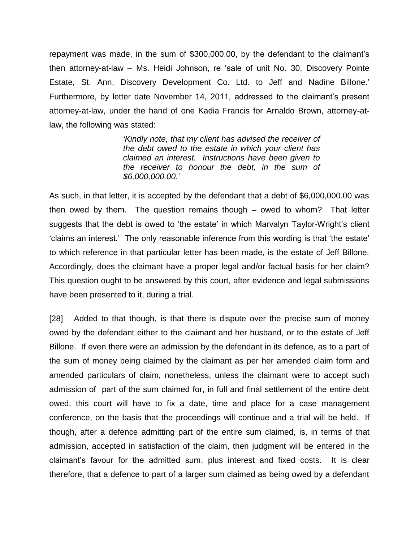repayment was made, in the sum of \$300,000.00, by the defendant to the claimant's then attorney-at-law – Ms. Heidi Johnson, re 'sale of unit No. 30, Discovery Pointe Estate, St. Ann, Discovery Development Co. Ltd. to Jeff and Nadine Billone.' Furthermore, by letter date November 14, 2011, addressed to the claimant's present attorney-at-law, under the hand of one Kadia Francis for Arnaldo Brown, attorney-atlaw, the following was stated:

> *'Kindly note, that my client has advised the receiver of the debt owed to the estate in which your client has claimed an interest. Instructions have been given to the receiver to honour the debt, in the sum of \$6,000,000.00.'*

As such, in that letter, it is accepted by the defendant that a debt of \$6,000,000.00 was then owed by them. The question remains though – owed to whom? That letter suggests that the debt is owed to 'the estate' in which Marvalyn Taylor-Wright's client 'claims an interest.' The only reasonable inference from this wording is that 'the estate' to which reference in that particular letter has been made, is the estate of Jeff Billone. Accordingly, does the claimant have a proper legal and/or factual basis for her claim? This question ought to be answered by this court, after evidence and legal submissions have been presented to it, during a trial.

[28] Added to that though, is that there is dispute over the precise sum of money owed by the defendant either to the claimant and her husband, or to the estate of Jeff Billone. If even there were an admission by the defendant in its defence, as to a part of the sum of money being claimed by the claimant as per her amended claim form and amended particulars of claim, nonetheless, unless the claimant were to accept such admission of part of the sum claimed for, in full and final settlement of the entire debt owed, this court will have to fix a date, time and place for a case management conference, on the basis that the proceedings will continue and a trial will be held. If though, after a defence admitting part of the entire sum claimed, is, in terms of that admission, accepted in satisfaction of the claim, then judgment will be entered in the claimant's favour for the admitted sum, plus interest and fixed costs. It is clear therefore, that a defence to part of a larger sum claimed as being owed by a defendant